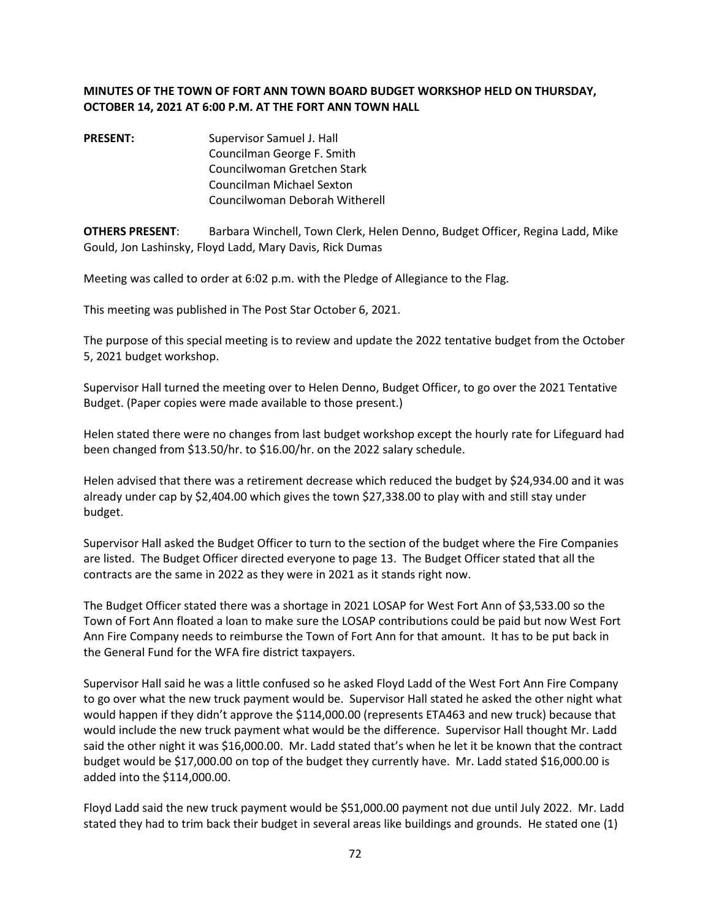## **MINUTES OF THE TOWN OF FORT ANN TOWN BOARD BUDGET WORKSHOP HELD ON THURSDAY, OCTOBER 14, 2021 AT 6:00 P.M. AT THE FORT ANN TOWN HALL**

**PRESENT:** Supervisor Samuel J. Hall Councilman George F. Smith Councilwoman Gretchen Stark Councilman Michael Sexton Councilwoman Deborah Witherell

**OTHERS PRESENT**: Barbara Winchell, Town Clerk, Helen Denno, Budget Officer, Regina Ladd, Mike Gould, Jon Lashinsky, Floyd Ladd, Mary Davis, Rick Dumas

Meeting was called to order at 6:02 p.m. with the Pledge of Allegiance to the Flag.

This meeting was published in The Post Star October 6, 2021.

The purpose of this special meeting is to review and update the 2022 tentative budget from the October 5, 2021 budget workshop.

Supervisor Hall turned the meeting over to Helen Denno, Budget Officer, to go over the 2021 Tentative Budget. (Paper copies were made available to those present.)

Helen stated there were no changes from last budget workshop except the hourly rate for Lifeguard had been changed from \$13.50/hr. to \$16.00/hr. on the 2022 salary schedule.

Helen advised that there was a retirement decrease which reduced the budget by \$24,934.00 and it was already under cap by \$2,404.00 which gives the town \$27,338.00 to play with and still stay under budget.

Supervisor Hall asked the Budget Officer to turn to the section of the budget where the Fire Companies are listed. The Budget Officer directed everyone to page 13. The Budget Officer stated that all the contracts are the same in 2022 as they were in 2021 as it stands right now.

The Budget Officer stated there was a shortage in 2021 LOSAP for West Fort Ann of \$3,533.00 so the Town of Fort Ann floated a loan to make sure the LOSAP contributions could be paid but now West Fort Ann Fire Company needs to reimburse the Town of Fort Ann for that amount. It has to be put back in the General Fund for the WFA fire district taxpayers.

Supervisor Hall said he was a little confused so he asked Floyd Ladd of the West Fort Ann Fire Company to go over what the new truck payment would be. Supervisor Hall stated he asked the other night what would happen if they didn't approve the \$114,000.00 (represents ETA463 and new truck) because that would include the new truck payment what would be the difference. Supervisor Hall thought Mr. Ladd said the other night it was \$16,000.00. Mr. Ladd stated that's when he let it be known that the contract budget would be \$17,000.00 on top of the budget they currently have. Mr. Ladd stated \$16,000.00 is added into the \$114,000.00.

Floyd Ladd said the new truck payment would be \$51,000.00 payment not due until July 2022. Mr. Ladd stated they had to trim back their budget in several areas like buildings and grounds. He stated one (1)